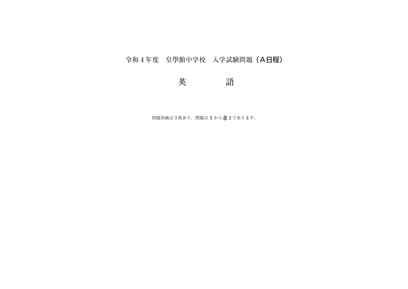# 令和4年度 皇學館中学校 入学試験問題(A日程)

# 英 語

問題用紙は3枚あり、問題は**1**から**8**まであります。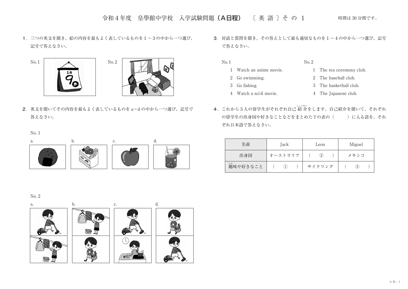令和4年度 皇學館中学校 入学試験問題 (A日程) 〔英語〕その 1 時間は 30分間です。

**1**.三つの英文を聞き、絵の内容を最もよく表しているものを1〜3の中から一つ選び、 記号で答えなさい。





**2**.英文を聞いてその内容を最もよく表しているものを a〜d の中から一つ選び、記号で 答えなさい。

**3**.対話と質問を聞き、その答えとして最も適切なものを1〜4の中から一つ選び、記号 で答えなさい。

- No. 1 No. 2
	- 1 Watch an anime movie. 1 The tea ceremony club.
		-
- 
- 2 Go swimming. 2 The baseball club.
- 3 Go fishing. 3 The basketball club.
- 4 Watch a sci-fi movie. 4 The Japanese club.
- **4. これから3人の留学生がそれぞれ自己 紹 介をします。自己紹介を聞いて、それぞれ** の留学生の出身国や好きなことなどをまとめた下の表の() ぞれ日本語で答えなさい。

| 名前             | Jack             | Leon              | Miguel |
|----------------|------------------|-------------------|--------|
| 出身国            | オーストラリア          | $\left( 2\right)$ | メキシコ   |
| し。<br>趣味や好きなこと | $\left(1\right)$ | サイクリング            | (3)    |

No. 1



#### No. 2

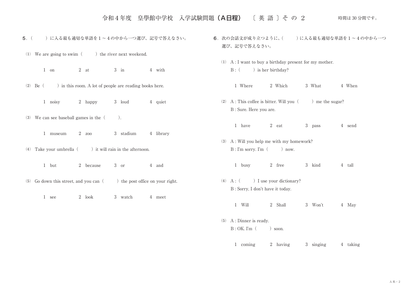令和4年度 皇學館中学校 入学試験問題(A日程) 〔 英 語 〕そ の 2

時間は 30 分間です。

5. ( )に入る最も適切な単語を1~4の中から一つ選び、記号で答えなさい。

(1) We are going to swim  $($ ) the river next weekend.

1 on 2 at 3 in 4 with

(2) Be ( ) in this room. A lot of people are reading books here.

1 noisy 2 happy 3 loud 4 quiet

⑶ We can see baseball games in the( ).

1 museum 2 zoo 3 stadium 4 library

(4) Take your umbrella  $($ ) it will rain in the afternoon.

1 but 2 because 3 or 4 and

- $(5)$  Go down this street, and you can ( ) the post office on your right.
	- 1 see 2 look 3 watch 4 meet
- 6. 次の会話文が成り立つように、( )に入る最も適切な単語を1~4の中から一つ 選び、記号で答えなさい。
	- ⑴ A : I want to buy a birthday present for my mother. B : () is her birthday?
		- 1 Where 2 Which 3 What 4 When
	- (2) A : This coffee is bitter. Will you  $($ ) me the sugar? B : Sure. Here you are.
		- 1 have 2 eat 3 pass 4 send
	- ⑶ A : Will you help me with my homework?  $B: I'm$  sorry. I'm  $($  ) now.
		- 1 busy 2 free 3 kind 4 tall
	- (4)  $A : ($  ) I use your dictionary? B : Sorry, I don't have it today.
		- 1 Will 2 Shall 3 Won't 4 May
	- ⑸ A : Dinner is ready.  $B: OK$ . I'm  $($  ) soon.

1 coming 2 having 3 singing 4 taking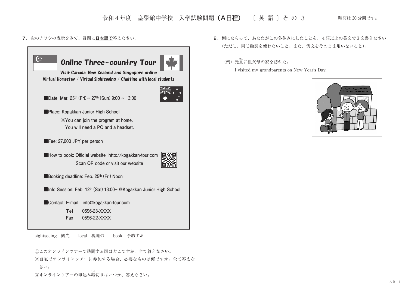### 令和4年度 皇學館中学校 入学試験問題(A日程) 〔 英 語 〕そ の 3

**7**.次のチラシの表示をみて、質問に**日本語で**答えなさい。



sightseeing 観光 local 現地の book 予約する

①このオンラインツアーで訪問する国はどこですか。全て答えなさい。

②自宅でオンラインツアーに参加する場合、必要なものは何ですか。全て答えな さい。

③オンラインツアーの申込み締しめ 切りはいつか、答えなさい。

**8**.例にならって、あなたがこの冬休みにしたことを、4語以上の英文で3文書きなさい (ただし、同じ動詞を使わないこと。また、例文をそのまま用いないこと)。

(例) 元旦に祖父母の家を訪れた。

I visited my grandparents on New Year's Day.